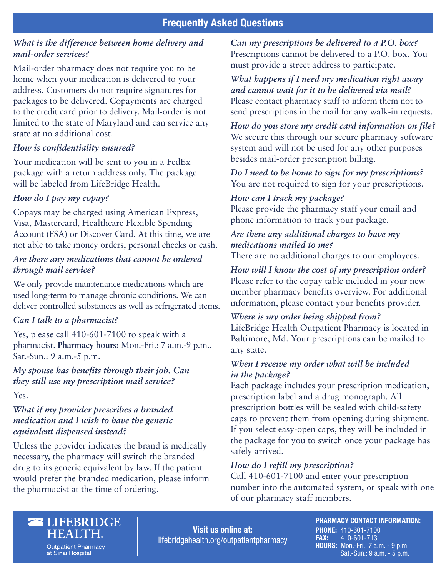### *What is the difference between home delivery and mail-order services?*

Mail-order pharmacy does not require you to be home when your medication is delivered to your address. Customers do not require signatures for packages to be delivered. Copayments are charged to the credit card prior to delivery. Mail-order is not limited to the state of Maryland and can service any state at no additional cost.

#### *How is confidentiality ensured?*

Your medication will be sent to you in a FedEx package with a return address only. The package will be labeled from LifeBridge Health.

### *How do I pay my copay?*

Copays may be charged using American Express, Visa, Mastercard, Healthcare Flexible Spending Account (FSA) or Discover Card. At this time, we are not able to take money orders, personal checks or cash.

### *Are there any medications that cannot be ordered through mail service?*

We only provide maintenance medications which are used long-term to manage chronic conditions. We can deliver controlled substances as well as refrigerated items.

### *Can I talk to a pharmacist?*

Yes, please call 410-601-7100 to speak with a pharmacist. **Pharmacy hours:** Mon.-Fri.: 7 a.m.-9 p.m., Sat.-Sun.: 9 a.m.-5 p.m.

# *My spouse has benefits through their job. Can they still use my prescription mail service?*

Yes.

## *What if my provider prescribes a branded medication and I wish to have the generic equivalent dispensed instead?*

Unless the provider indicates the brand is medically necessary, the pharmacy will switch the branded drug to its generic equivalent by law. If the patient would prefer the branded medication, please inform the pharmacist at the time of ordering.

*Can my prescriptions be delivered to a P.O. box?* Prescriptions cannot be delivered to a P.O. box. You must provide a street address to participate.

### *What happens if I need my medication right away and cannot wait for it to be delivered via mail?*  Please contact pharmacy staff to inform them not to send prescriptions in the mail for any walk-in requests.

*How do you store my credit card information on file?*  We secure this through our secure pharmacy software system and will not be used for any other purposes besides mail-order prescription billing.

*Do I need to be home to sign for my prescriptions?*  You are not required to sign for your prescriptions.

#### *How can I track my package?*

Please provide the pharmacy staff your email and phone information to track your package.

# *Are there any additional charges to have my medications mailed to me?*

There are no additional charges to our employees.

*How will I know the cost of my prescription order?*  Please refer to the copay table included in your new member pharmacy benefits overview. For additional information, please contact your benefits provider.

### *Where is my order being shipped from?*

LifeBridge Health Outpatient Pharmacy is located in Baltimore, Md. Your prescriptions can be mailed to any state.

### *When I receive my order what will be included in the package?*

Each package includes your prescription medication, prescription label and a drug monograph. All prescription bottles will be sealed with child-safety caps to prevent them from opening during shipment. If you select easy-open caps, they will be included in the package for you to switch once your package has safely arrived.

### *How do I refill my prescription?*

Call 410-601-7100 and enter your prescription number into the automated system, or speak with one of our pharmacy staff members.



**Outpatient Pharmacy** at Sinai Hospital

Visit us online at: lifebridgehealth.org/outpatientpharmacy PHARMACY CONTACT INFORMATION: PHONE: 410-601-7100 FAX: 410-601-7131 HOURS: Mon.-Fri.: 7 a.m. - 9 p.m. Sat.-Sun.: 9 a.m. - 5 p.m.